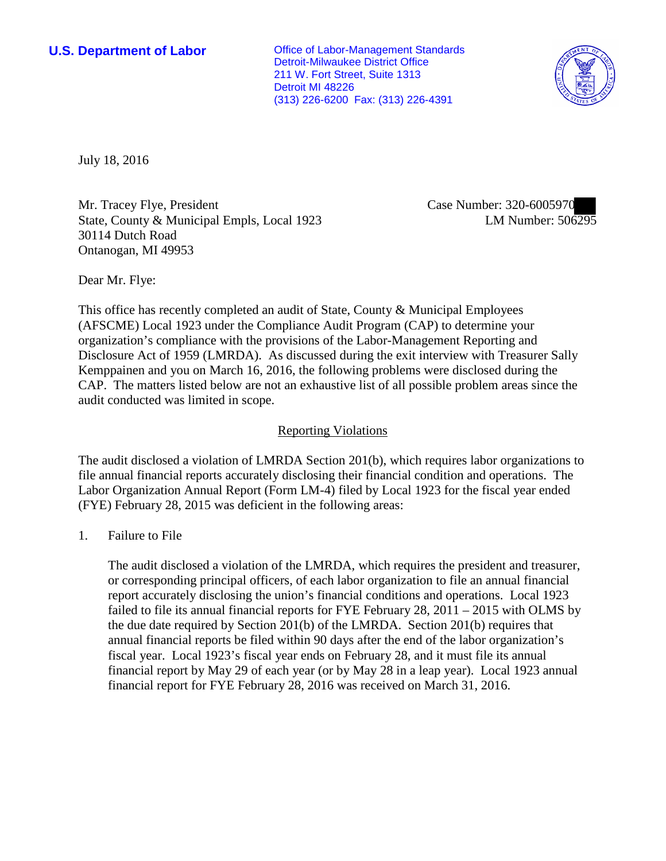**U.S. Department of Labor Conservative Conservative Conservative Conservative Conservative Conservative Conservative Conservative Conservative Conservative Conservative Conservative Conservative Conservative Conservative** Detroit-Milwaukee District Office 211 W. Fort Street, Suite 1313 Detroit MI 48226 (313) 226-6200 Fax: (313) 226-4391



July 18, 2016

Mr. Tracey Flye, President State, County & Municipal Empls, Local 1923 30114 Dutch Road Ontanogan, MI 49953

Case Number: 320-6005970 LM Number: 506295

Dear Mr. Flye:

This office has recently completed an audit of State, County & Municipal Employees (AFSCME) Local 1923 under the Compliance Audit Program (CAP) to determine your organization's compliance with the provisions of the Labor-Management Reporting and Disclosure Act of 1959 (LMRDA). As discussed during the exit interview with Treasurer Sally Kemppainen and you on March 16, 2016, the following problems were disclosed during the CAP. The matters listed below are not an exhaustive list of all possible problem areas since the audit conducted was limited in scope.

## Reporting Violations

The audit disclosed a violation of LMRDA Section 201(b), which requires labor organizations to file annual financial reports accurately disclosing their financial condition and operations. The Labor Organization Annual Report (Form LM-4) filed by Local 1923 for the fiscal year ended (FYE) February 28, 2015 was deficient in the following areas:

1. Failure to File

The audit disclosed a violation of the LMRDA, which requires the president and treasurer, or corresponding principal officers, of each labor organization to file an annual financial report accurately disclosing the union's financial conditions and operations. Local 1923 failed to file its annual financial reports for FYE February 28, 2011 – 2015 with OLMS by the due date required by Section 201(b) of the LMRDA. Section 201(b) requires that annual financial reports be filed within 90 days after the end of the labor organization's fiscal year. Local 1923's fiscal year ends on February 28, and it must file its annual financial report by May 29 of each year (or by May 28 in a leap year). Local 1923 annual financial report for FYE February 28, 2016 was received on March 31, 2016.